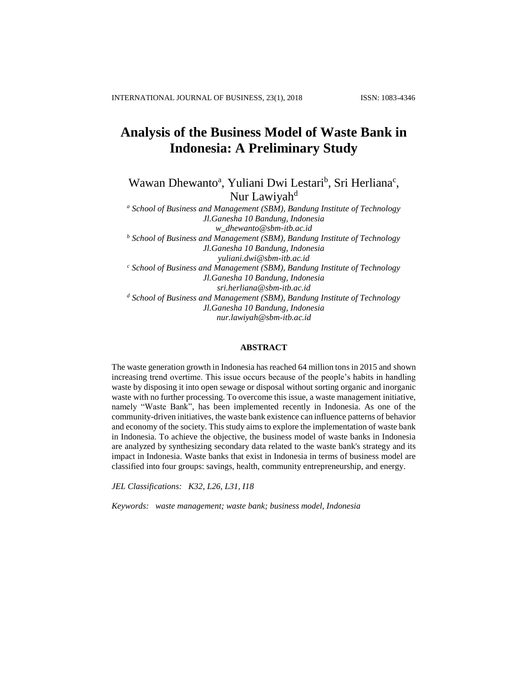# **Analysis of the Business Model of Waste Bank in Indonesia: A Preliminary Study**

Wawan Dhewanto<sup>a</sup>, Yuliani Dwi Lestari<sup>b</sup>, Sri Herliana<sup>c</sup>, Nur Lawiyah<sup>d</sup>

*<sup>a</sup> School of Business and Management (SBM), Bandung Institute of Technology Jl.Ganesha 10 Bandung, Indonesia w\_dhewanto@sbm-itb.ac.id <sup>b</sup> School of Business and Management (SBM), Bandung Institute of Technology Jl.Ganesha 10 Bandung, Indonesia yuliani.dwi@sbm-itb.ac.id <sup>c</sup> School of Business and Management (SBM), Bandung Institute of Technology Jl.Ganesha 10 Bandung, Indonesia sri.herliana@sbm-itb.ac.id <sup>d</sup> School of Business and Management (SBM), Bandung Institute of Technology Jl.Ganesha 10 Bandung, Indonesia nur.lawiyah@sbm-itb.ac.id*

### **ABSTRACT**

The waste generation growth in Indonesia has reached 64 million tons in 2015 and shown increasing trend overtime. This issue occurs because of the people's habits in handling waste by disposing it into open sewage or disposal without sorting organic and inorganic waste with no further processing. To overcome this issue, a waste management initiative, namely "Waste Bank", has been implemented recently in Indonesia. As one of the community-driven initiatives, the waste bank existence can influence patterns of behavior and economy of the society. This study aims to explore the implementation of waste bank in Indonesia. To achieve the objective, the business model of waste banks in Indonesia are analyzed by synthesizing secondary data related to the waste bank's strategy and its impact in Indonesia. Waste banks that exist in Indonesia in terms of business model are classified into four groups: savings, health, community entrepreneurship, and energy.

*JEL Classifications: K32, L26, L31, I18*

*Keywords: waste management; waste bank; business model, Indonesia*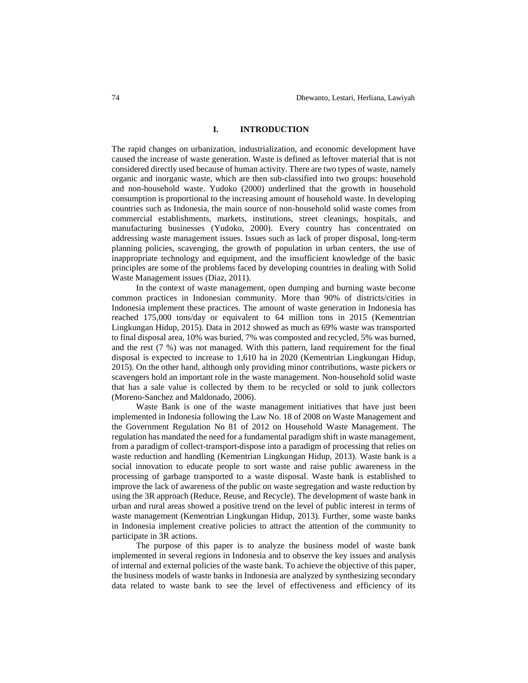### **I. INTRODUCTION**

The rapid changes on urbanization, industrialization, and economic development have caused the increase of waste generation. Waste is defined as leftover material that is not considered directly used because of human activity. There are two types of waste, namely organic and inorganic waste, which are then sub-classified into two groups: household and non-household waste. Yudoko (2000) underlined that the growth in household consumption is proportional to the increasing amount of household waste. In developing countries such as Indonesia, the main source of non-household solid waste comes from commercial establishments, markets, institutions, street cleanings, hospitals, and manufacturing businesses (Yudoko, 2000). Every country has concentrated on addressing waste management issues. Issues such as lack of proper disposal, long-term planning policies, scavenging, the growth of population in urban centers, the use of inappropriate technology and equipment, and the insufficient knowledge of the basic principles are some of the problems faced by developing countries in dealing with Solid Waste Management issues (Diaz, 2011).

In the context of waste management, open dumping and burning waste become common practices in Indonesian community. More than 90% of districts/cities in Indonesia implement these practices. The amount of waste generation in Indonesia has reached 175,000 tons/day or equivalent to 64 million tons in 2015 (Kementrian Lingkungan Hidup, 2015). Data in 2012 showed as much as 69% waste was transported to final disposal area, 10% was buried, 7% was composted and recycled, 5% was burned, and the rest (7 %) was not managed. With this pattern, land requirement for the final disposal is expected to increase to 1,610 ha in 2020 (Kementrian Lingkungan Hidup, 2015). On the other hand, although only providing minor contributions, waste pickers or scavengers hold an important role in the waste management. Non-household solid waste that has a sale value is collected by them to be recycled or sold to junk collectors (Moreno-Sanchez and Maldonado, 2006).

Waste Bank is one of the waste management initiatives that have just been implemented in Indonesia following the Law No. 18 of 2008 on Waste Management and the Government Regulation No 81 of 2012 on Household Waste Management. The regulation has mandated the need for a fundamental paradigm shift in waste management, from a paradigm of collect-transport-dispose into a paradigm of processing that relies on waste reduction and handling (Kementrian Lingkungan Hidup, 2013). Waste bank is a social innovation to educate people to sort waste and raise public awareness in the processing of garbage transported to a waste disposal. Waste bank is established to improve the lack of awareness of the public on waste segregation and waste reduction by using the 3R approach (Reduce, Reuse, and Recycle). The development of waste bank in urban and rural areas showed a positive trend on the level of public interest in terms of waste management (Kementrian Lingkungan Hidup, 2013). Further, some waste banks in Indonesia implement creative policies to attract the attention of the community to participate in 3R actions.

The purpose of this paper is to analyze the business model of waste bank implemented in several regions in Indonesia and to observe the key issues and analysis of internal and external policies of the waste bank. To achieve the objective of this paper, the business models of waste banks in Indonesia are analyzed by synthesizing secondary data related to waste bank to see the level of effectiveness and efficiency of its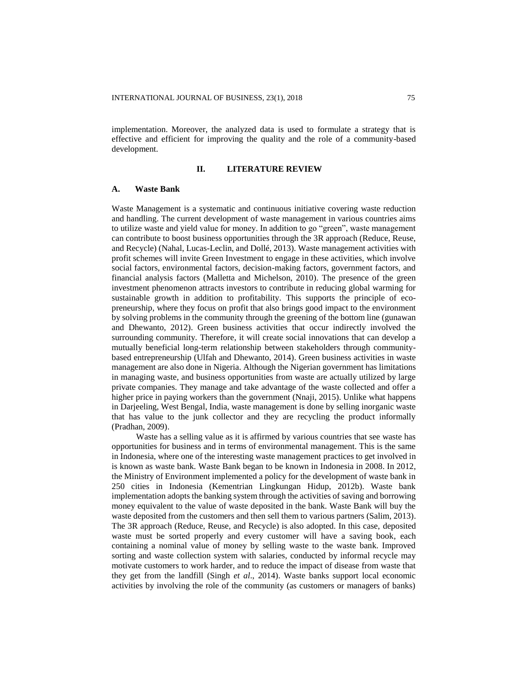implementation. Moreover, the analyzed data is used to formulate a strategy that is effective and efficient for improving the quality and the role of a community-based development.

### **II. LITERATURE REVIEW**

### **A. Waste Bank**

Waste Management is a systematic and continuous initiative covering waste reduction and handling. The current development of waste management in various countries aims to utilize waste and yield value for money. In addition to go "green", waste management can contribute to boost business opportunities through the 3R approach (Reduce, Reuse, and Recycle) (Nahal, Lucas-Leclin, and Dollé, 2013). Waste management activities with profit schemes will invite Green Investment to engage in these activities, which involve social factors, environmental factors, decision-making factors, government factors, and financial analysis factors (Malletta and Michelson, 2010). The presence of the green investment phenomenon attracts investors to contribute in reducing global warming for sustainable growth in addition to profitability. This supports the principle of ecopreneurship, where they focus on profit that also brings good impact to the environment by solving problems in the community through the greening of the bottom line (gunawan and Dhewanto, 2012). Green business activities that occur indirectly involved the surrounding community. Therefore, it will create social innovations that can develop a mutually beneficial long-term relationship between stakeholders through communitybased entrepreneurship (Ulfah and Dhewanto, 2014). Green business activities in waste management are also done in Nigeria. Although the Nigerian government has limitations in managing waste, and business opportunities from waste are actually utilized by large private companies. They manage and take advantage of the waste collected and offer a higher price in paying workers than the government (Nnaji, 2015). Unlike what happens in Darjeeling, West Bengal, India, waste management is done by selling inorganic waste that has value to the junk collector and they are recycling the product informally (Pradhan, 2009).

Waste has a selling value as it is affirmed by various countries that see waste has opportunities for business and in terms of environmental management. This is the same in Indonesia, where one of the interesting waste management practices to get involved in is known as waste bank. Waste Bank began to be known in Indonesia in 2008. In 2012, the Ministry of Environment implemented a policy for the development of waste bank in 250 cities in Indonesia (Kementrian Lingkungan Hidup, 2012b). Waste bank implementation adopts the banking system through the activities of saving and borrowing money equivalent to the value of waste deposited in the bank. Waste Bank will buy the waste deposited from the customers and then sell them to various partners (Salim, 2013). The 3R approach (Reduce, Reuse, and Recycle) is also adopted. In this case, deposited waste must be sorted properly and every customer will have a saving book, each containing a nominal value of money by selling waste to the waste bank. Improved sorting and waste collection system with salaries, conducted by informal recycle may motivate customers to work harder, and to reduce the impact of disease from waste that they get from the landfill (Singh *et al*., 2014). Waste banks support local economic activities by involving the role of the community (as customers or managers of banks)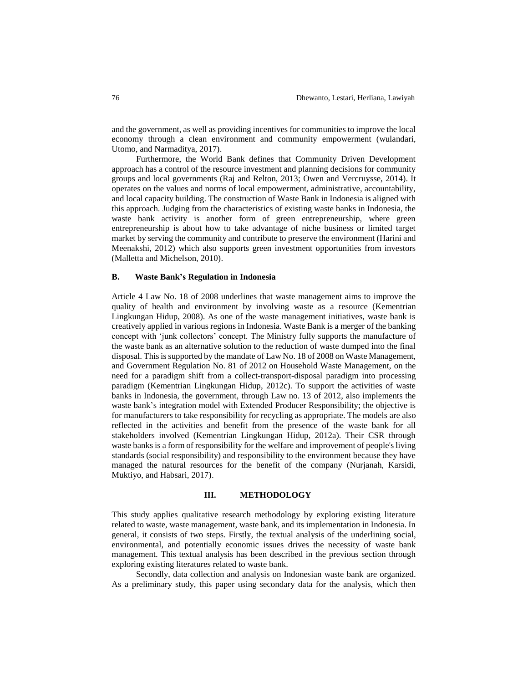and the government, as well as providing incentives for communities to improve the local economy through a clean environment and community empowerment (wulandari, Utomo, and Narmaditya, 2017).

Furthermore, the World Bank defines that Community Driven Development approach has a control of the resource investment and planning decisions for community groups and local governments (Raj and Relton, 2013; Owen and Vercruysse, 2014). It operates on the values and norms of local empowerment, administrative, accountability, and local capacity building. The construction of Waste Bank in Indonesia is aligned with this approach. Judging from the characteristics of existing waste banks in Indonesia, the waste bank activity is another form of green entrepreneurship, where green entrepreneurship is about how to take advantage of niche business or limited target market by serving the community and contribute to preserve the environment (Harini and Meenakshi, 2012) which also supports green investment opportunities from investors (Malletta and Michelson, 2010).

### **B. Waste Bank's Regulation in Indonesia**

Article 4 Law No. 18 of 2008 underlines that waste management aims to improve the quality of health and environment by involving waste as a resource (Kementrian Lingkungan Hidup, 2008). As one of the waste management initiatives, waste bank is creatively applied in various regions in Indonesia. Waste Bank is a merger of the banking concept with 'junk collectors' concept. The Ministry fully supports the manufacture of the waste bank as an alternative solution to the reduction of waste dumped into the final disposal. This is supported by the mandate of Law No. 18 of 2008 on Waste Management, and Government Regulation No. 81 of 2012 on Household Waste Management, on the need for a paradigm shift from a collect-transport-disposal paradigm into processing paradigm (Kementrian Lingkungan Hidup, 2012c). To support the activities of waste banks in Indonesia, the government, through Law no. 13 of 2012, also implements the waste bank's integration model with Extended Producer Responsibility; the objective is for manufacturers to take responsibility for recycling as appropriate. The models are also reflected in the activities and benefit from the presence of the waste bank for all stakeholders involved (Kementrian Lingkungan Hidup, 2012a). Their CSR through waste banks is a form of responsibility for the welfare and improvement of people's living standards (social responsibility) and responsibility to the environment because they have managed the natural resources for the benefit of the company (Nurjanah, Karsidi, Muktiyo, and Habsari, 2017).

### **III. METHODOLOGY**

This study applies qualitative research methodology by exploring existing literature related to waste, waste management, waste bank, and its implementation in Indonesia. In general, it consists of two steps. Firstly, the textual analysis of the underlining social, environmental, and potentially economic issues drives the necessity of waste bank management. This textual analysis has been described in the previous section through exploring existing literatures related to waste bank.

Secondly, data collection and analysis on Indonesian waste bank are organized. As a preliminary study, this paper using secondary data for the analysis, which then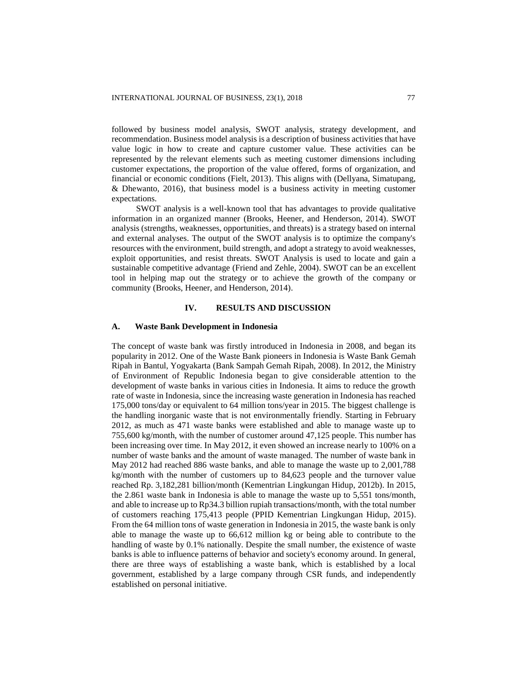followed by business model analysis, SWOT analysis, strategy development, and recommendation. Business model analysis is a description of business activities that have value logic in how to create and capture customer value. These activities can be represented by the relevant elements such as meeting customer dimensions including customer expectations, the proportion of the value offered, forms of organization, and financial or economic conditions (Fielt, 2013). This aligns with (Dellyana, Simatupang, & Dhewanto, 2016), that business model is a business activity in meeting customer expectations.

SWOT analysis is a well-known tool that has advantages to provide qualitative information in an organized manner (Brooks, Heener, and Henderson, 2014). SWOT analysis (strengths, weaknesses, opportunities, and threats) is a strategy based on internal and external analyses. The output of the SWOT analysis is to optimize the company's resources with the environment, build strength, and adopt a strategy to avoid weaknesses, exploit opportunities, and resist threats. SWOT Analysis is used to locate and gain a sustainable competitive advantage (Friend and Zehle, 2004). SWOT can be an excellent tool in helping map out the strategy or to achieve the growth of the company or community (Brooks, Heener, and Henderson, 2014).

### **IV. RESULTS AND DISCUSSION**

### **A. Waste Bank Development in Indonesia**

The concept of waste bank was firstly introduced in Indonesia in 2008, and began its popularity in 2012. One of the Waste Bank pioneers in Indonesia is Waste Bank Gemah Ripah in Bantul, Yogyakarta (Bank Sampah Gemah Ripah, 2008). In 2012, the Ministry of Environment of Republic Indonesia began to give considerable attention to the development of waste banks in various cities in Indonesia. It aims to reduce the growth rate of waste in Indonesia, since the increasing waste generation in Indonesia has reached 175,000 tons/day or equivalent to 64 million tons/year in 2015. The biggest challenge is the handling inorganic waste that is not environmentally friendly. Starting in February 2012, as much as 471 waste banks were established and able to manage waste up to 755,600 kg/month, with the number of customer around 47,125 people. This number has been increasing over time. In May 2012, it even showed an increase nearly to 100% on a number of waste banks and the amount of waste managed. The number of waste bank in May 2012 had reached 886 waste banks, and able to manage the waste up to 2,001,788 kg/month with the number of customers up to 84,623 people and the turnover value reached Rp. 3,182,281 billion/month (Kementrian Lingkungan Hidup, 2012b). In 2015, the 2.861 waste bank in Indonesia is able to manage the waste up to 5,551 tons/month, and able to increase up to Rp34.3 billion rupiah transactions/month, with the total number of customers reaching 175,413 people (PPID Kementrian Lingkungan Hidup, 2015). From the 64 million tons of waste generation in Indonesia in 2015, the waste bank is only able to manage the waste up to 66,612 million kg or being able to contribute to the handling of waste by 0.1% nationally. Despite the small number, the existence of waste banks is able to influence patterns of behavior and society's economy around. In general, there are three ways of establishing a waste bank, which is established by a local government, established by a large company through CSR funds, and independently established on personal initiative.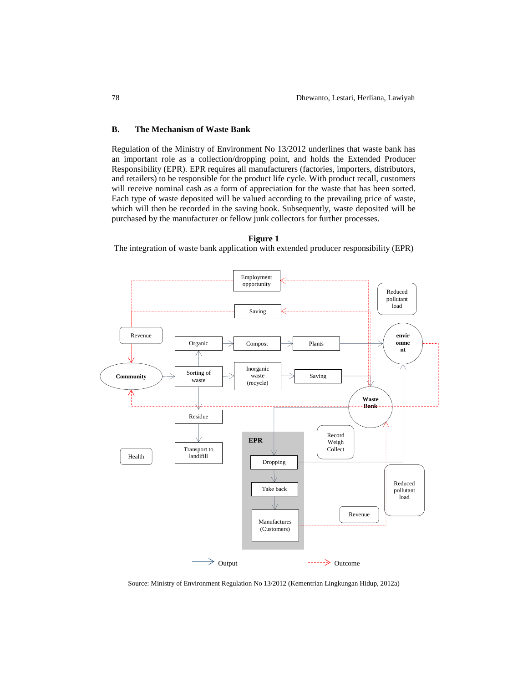### **B. The Mechanism of Waste Bank**

Regulation of the Ministry of Environment No 13/2012 underlines that waste bank has an important role as a collection/dropping point, and holds the Extended Producer Responsibility (EPR). EPR requires all manufacturers (factories, importers, distributors, and retailers) to be responsible for the product life cycle. With product recall, customers will receive nominal cash as a form of appreciation for the waste that has been sorted. Each type of waste deposited will be valued according to the prevailing price of waste, which will then be recorded in the saving book. Subsequently, waste deposited will be purchased by the manufacturer or fellow junk collectors for further processes.



#### **Figure 1**

The integration of waste bank application with extended producer responsibility (EPR)

Source: Ministry of Environment Regulation No 13/2012 (Kementrian Lingkungan Hidup, 2012a)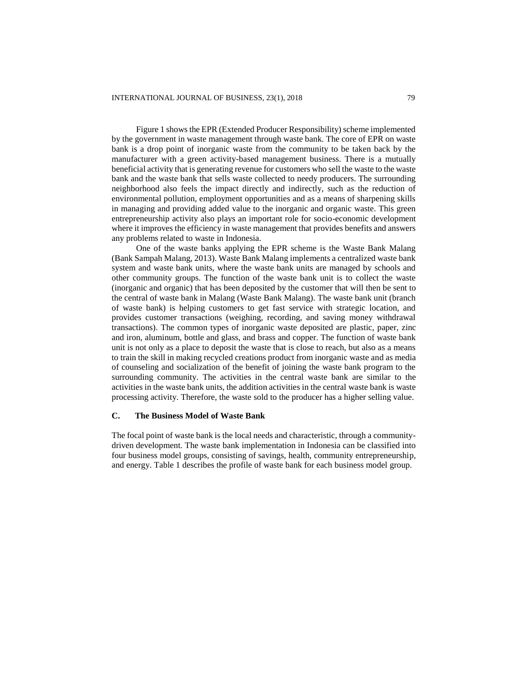Figure 1 shows the EPR (Extended Producer Responsibility) scheme implemented by the government in waste management through waste bank. The core of EPR on waste bank is a drop point of inorganic waste from the community to be taken back by the manufacturer with a green activity-based management business. There is a mutually beneficial activity that is generating revenue for customers who sell the waste to the waste bank and the waste bank that sells waste collected to needy producers. The surrounding neighborhood also feels the impact directly and indirectly, such as the reduction of environmental pollution, employment opportunities and as a means of sharpening skills in managing and providing added value to the inorganic and organic waste. This green entrepreneurship activity also plays an important role for socio-economic development where it improves the efficiency in waste management that provides benefits and answers any problems related to waste in Indonesia.

One of the waste banks applying the EPR scheme is the Waste Bank Malang (Bank Sampah Malang, 2013). Waste Bank Malang implements a centralized waste bank system and waste bank units, where the waste bank units are managed by schools and other community groups. The function of the waste bank unit is to collect the waste (inorganic and organic) that has been deposited by the customer that will then be sent to the central of waste bank in Malang (Waste Bank Malang). The waste bank unit (branch of waste bank) is helping customers to get fast service with strategic location, and provides customer transactions (weighing, recording, and saving money withdrawal transactions). The common types of inorganic waste deposited are plastic, paper, zinc and iron, aluminum, bottle and glass, and brass and copper. The function of waste bank unit is not only as a place to deposit the waste that is close to reach, but also as a means to train the skill in making recycled creations product from inorganic waste and as media of counseling and socialization of the benefit of joining the waste bank program to the surrounding community. The activities in the central waste bank are similar to the activities in the waste bank units, the addition activities in the central waste bank is waste processing activity. Therefore, the waste sold to the producer has a higher selling value.

### **C. The Business Model of Waste Bank**

The focal point of waste bank is the local needs and characteristic, through a communitydriven development. The waste bank implementation in Indonesia can be classified into four business model groups, consisting of savings, health, community entrepreneurship, and energy. Table 1 describes the profile of waste bank for each business model group.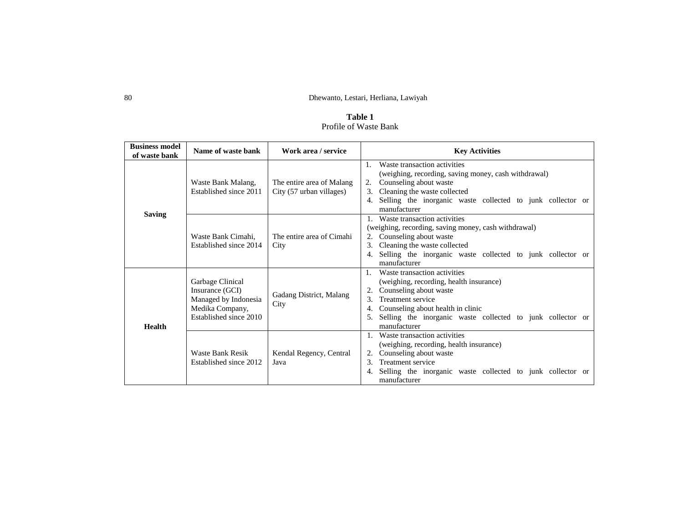**Table 1** Profile of Waste Bank

| <b>Business model</b><br>of waste bank | Name of waste bank                                                                                       | Work area / service                                   | <b>Key Activities</b>                                                                                                                                                                                                                                                        |  |  |
|----------------------------------------|----------------------------------------------------------------------------------------------------------|-------------------------------------------------------|------------------------------------------------------------------------------------------------------------------------------------------------------------------------------------------------------------------------------------------------------------------------------|--|--|
| <b>Saving</b>                          | Waste Bank Malang,<br>Established since 2011                                                             | The entire area of Malang<br>City (57 urban villages) | Waste transaction activities<br>$\mathbf{1}$ .<br>(weighing, recording, saving money, cash withdrawal)<br>Counseling about waste<br>2.<br>Cleaning the waste collected<br>3.<br>Selling the inorganic waste collected to junk collector or<br>manufacturer                   |  |  |
|                                        | Waste Bank Cimahi.<br>Established since 2014                                                             | The entire area of Cimahi<br>City                     | 1. Waste transaction activities<br>(weighing, recording, saving money, cash withdrawal)<br>2. Counseling about waste<br>Cleaning the waste collected<br>3.<br>Selling the inorganic waste collected to junk collector or<br>manufacturer                                     |  |  |
| <b>Health</b>                          | Garbage Clinical<br>Insurance (GCI)<br>Managed by Indonesia<br>Medika Company,<br>Established since 2010 | Gadang District, Malang<br>City                       | Waste transaction activities<br>$1_{\cdot}$<br>(weighing, recording, health insurance)<br>2. Counseling about waste<br>Treatment service<br>$3_{-}$<br>Counseling about health in clinic<br>Selling the inorganic waste collected to junk collector or<br>5.<br>manufacturer |  |  |
|                                        | Waste Bank Resik<br>Established since 2012                                                               | Kendal Regency, Central<br>Java                       | Waste transaction activities<br>$\mathbf{1}$ .<br>(weighing, recording, health insurance)<br>Counseling about waste<br>2.<br>Treatment service<br>$\mathcal{R}_{\alpha}$<br>Selling the inorganic waste collected to junk collector or<br>manufacturer                       |  |  |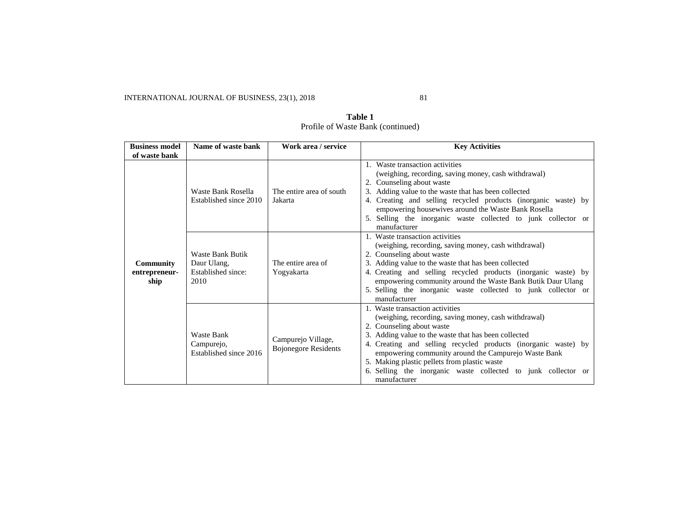| <b>Business model</b>                     | Name of waste bank                                            | Work area / service                               | <b>Key Activities</b>                                                                                                                                                                                                                                                                                                                                                                                                                   |  |
|-------------------------------------------|---------------------------------------------------------------|---------------------------------------------------|-----------------------------------------------------------------------------------------------------------------------------------------------------------------------------------------------------------------------------------------------------------------------------------------------------------------------------------------------------------------------------------------------------------------------------------------|--|
| of waste bank                             |                                                               |                                                   |                                                                                                                                                                                                                                                                                                                                                                                                                                         |  |
|                                           | Waste Bank Rosella<br>Established since 2010                  | The entire area of south<br>Jakarta               | 1. Waste transaction activities<br>(weighing, recording, saving money, cash withdrawal)<br>2. Counseling about waste<br>3. Adding value to the waste that has been collected<br>4. Creating and selling recycled products (inorganic waste) by<br>empowering housewives around the Waste Bank Rosella<br>5. Selling the inorganic waste collected to junk collector or<br>manufacturer                                                  |  |
| <b>Community</b><br>entrepreneur-<br>ship | Waste Bank Butik<br>Daur Ulang,<br>Established since:<br>2010 | The entire area of<br>Yogyakarta                  | 1. Waste transaction activities<br>(weighing, recording, saving money, cash withdrawal)<br>2. Counseling about waste<br>3. Adding value to the waste that has been collected<br>4. Creating and selling recycled products (inorganic waste) by<br>empowering community around the Waste Bank Butik Daur Ulang<br>5. Selling the inorganic waste collected to junk collector or<br>manufacturer                                          |  |
|                                           | <b>Waste Bank</b><br>Campurejo,<br>Established since 2016     | Campurejo Village,<br><b>Bojonegore Residents</b> | 1. Waste transaction activities<br>(weighing, recording, saving money, cash withdrawal)<br>2. Counseling about waste<br>3. Adding value to the waste that has been collected<br>4. Creating and selling recycled products (inorganic waste) by<br>empowering community around the Campurejo Waste Bank<br>5. Making plastic pellets from plastic waste<br>6. Selling the inorganic waste collected to junk collector or<br>manufacturer |  |

**Table 1** Profile of Waste Bank (continued)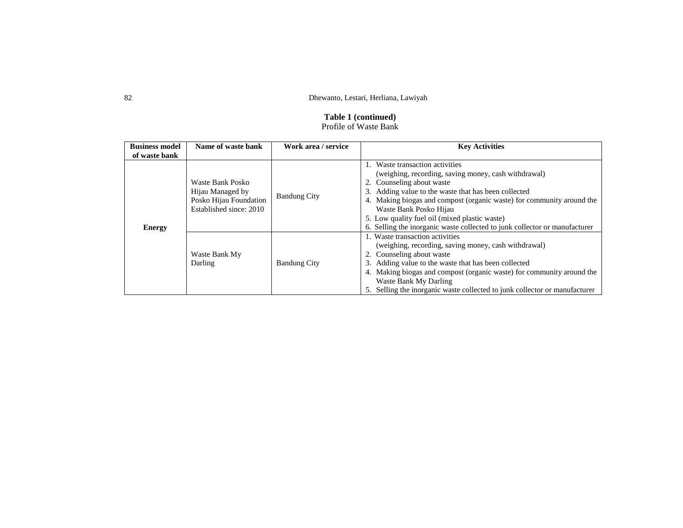# **Table 1 (continued)** Profile of Waste Bank

| <b>Business model</b> | Name of waste bank                                                                        | Work area / service | <b>Key Activities</b>                                                                                                                                                                                                                                                                                                                                                                                          |  |
|-----------------------|-------------------------------------------------------------------------------------------|---------------------|----------------------------------------------------------------------------------------------------------------------------------------------------------------------------------------------------------------------------------------------------------------------------------------------------------------------------------------------------------------------------------------------------------------|--|
| of waste bank         |                                                                                           |                     |                                                                                                                                                                                                                                                                                                                                                                                                                |  |
| <b>Energy</b>         | Waste Bank Posko<br>Hijau Managed by<br>Posko Hijau Foundation<br>Established since: 2010 | <b>Bandung City</b> | 1. Waste transaction activities<br>(weighing, recording, saving money, cash withdrawal)<br>2. Counseling about waste<br>3. Adding value to the waste that has been collected<br>4. Making biogas and compost (organic waste) for community around the<br>Waste Bank Posko Hijau<br>5. Low quality fuel oil (mixed plastic waste)<br>6. Selling the inorganic waste collected to junk collector or manufacturer |  |
|                       | Waste Bank My<br>Darling                                                                  | <b>Bandung City</b> | 1. Waste transaction activities<br>(weighing, recording, saving money, cash withdrawal)<br>2. Counseling about waste<br>3. Adding value to the waste that has been collected<br>4. Making biogas and compost (organic waste) for community around the<br>Waste Bank My Darling<br>5. Selling the inorganic waste collected to junk collector or manufacturer                                                   |  |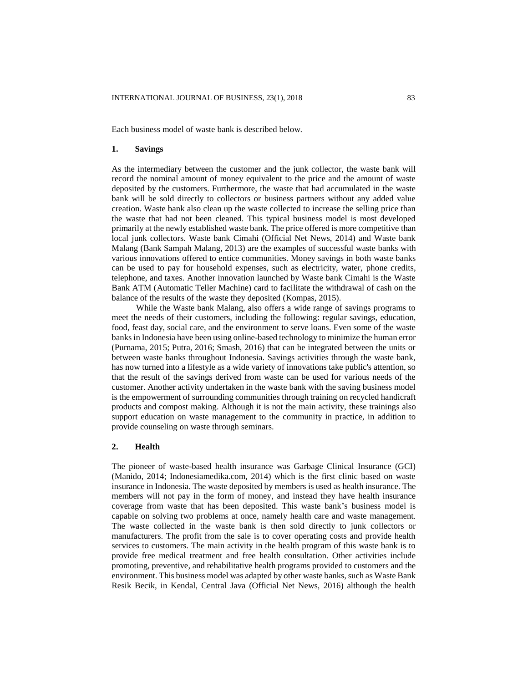Each business model of waste bank is described below.

### **1. Savings**

As the intermediary between the customer and the junk collector, the waste bank will record the nominal amount of money equivalent to the price and the amount of waste deposited by the customers. Furthermore, the waste that had accumulated in the waste bank will be sold directly to collectors or business partners without any added value creation. Waste bank also clean up the waste collected to increase the selling price than the waste that had not been cleaned. This typical business model is most developed primarily at the newly established waste bank. The price offered is more competitive than local junk collectors. Waste bank Cimahi (Official Net News, 2014) and Waste bank Malang (Bank Sampah Malang, 2013) are the examples of successful waste banks with various innovations offered to entice communities. Money savings in both waste banks can be used to pay for household expenses, such as electricity, water, phone credits, telephone, and taxes. Another innovation launched by Waste bank Cimahi is the Waste Bank ATM (Automatic Teller Machine) card to facilitate the withdrawal of cash on the balance of the results of the waste they deposited (Kompas, 2015).

While the Waste bank Malang, also offers a wide range of savings programs to meet the needs of their customers, including the following: regular savings, education, food, feast day, social care, and the environment to serve loans. Even some of the waste banks in Indonesia have been using online-based technology to minimize the human error (Purnama, 2015; Putra, 2016; Smash, 2016) that can be integrated between the units or between waste banks throughout Indonesia. Savings activities through the waste bank, has now turned into a lifestyle as a wide variety of innovations take public's attention, so that the result of the savings derived from waste can be used for various needs of the customer. Another activity undertaken in the waste bank with the saving business model is the empowerment of surrounding communities through training on recycled handicraft products and compost making. Although it is not the main activity, these trainings also support education on waste management to the community in practice, in addition to provide counseling on waste through seminars.

### **2. Health**

The pioneer of waste-based health insurance was Garbage Clinical Insurance (GCI) (Manido, 2014; Indonesiamedika.com, 2014) which is the first clinic based on waste insurance in Indonesia. The waste deposited by members is used as health insurance. The members will not pay in the form of money, and instead they have health insurance coverage from waste that has been deposited. This waste bank's business model is capable on solving two problems at once, namely health care and waste management. The waste collected in the waste bank is then sold directly to junk collectors or manufacturers. The profit from the sale is to cover operating costs and provide health services to customers. The main activity in the health program of this waste bank is to provide free medical treatment and free health consultation. Other activities include promoting, preventive, and rehabilitative health programs provided to customers and the environment. This business model was adapted by other waste banks, such as Waste Bank Resik Becik, in Kendal, Central Java (Official Net News, 2016) although the health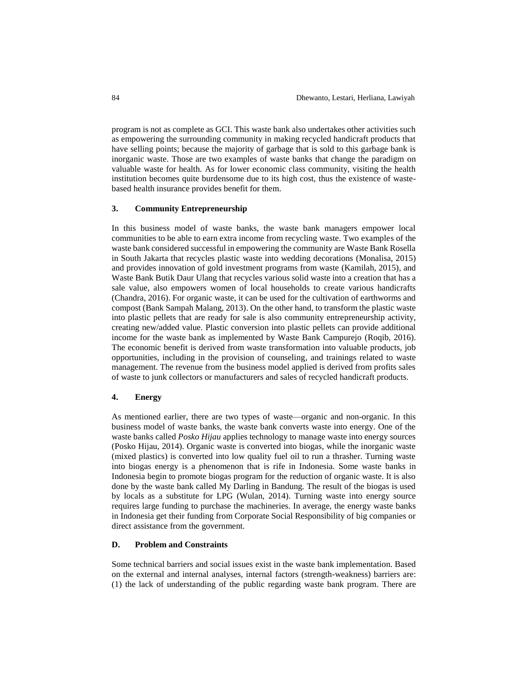program is not as complete as GCI. This waste bank also undertakes other activities such as empowering the surrounding community in making recycled handicraft products that have selling points; because the majority of garbage that is sold to this garbage bank is inorganic waste. Those are two examples of waste banks that change the paradigm on valuable waste for health. As for lower economic class community, visiting the health institution becomes quite burdensome due to its high cost, thus the existence of wastebased health insurance provides benefit for them.

### **3. Community Entrepreneurship**

In this business model of waste banks, the waste bank managers empower local communities to be able to earn extra income from recycling waste. Two examples of the waste bank considered successful in empowering the community are Waste Bank Rosella in South Jakarta that recycles plastic waste into wedding decorations (Monalisa, 2015) and provides innovation of gold investment programs from waste (Kamilah, 2015), and Waste Bank Butik Daur Ulang that recycles various solid waste into a creation that has a sale value, also empowers women of local households to create various handicrafts (Chandra, 2016). For organic waste, it can be used for the cultivation of earthworms and compost (Bank Sampah Malang, 2013). On the other hand, to transform the plastic waste into plastic pellets that are ready for sale is also community entrepreneurship activity, creating new/added value. Plastic conversion into plastic pellets can provide additional income for the waste bank as implemented by Waste Bank Campurejo (Roqib, 2016). The economic benefit is derived from waste transformation into valuable products, job opportunities, including in the provision of counseling, and trainings related to waste management. The revenue from the business model applied is derived from profits sales of waste to junk collectors or manufacturers and sales of recycled handicraft products.

### **4. Energy**

As mentioned earlier, there are two types of waste—organic and non-organic. In this business model of waste banks, the waste bank converts waste into energy. One of the waste banks called *Posko Hijau* applies technology to manage waste into energy sources (Posko Hijau, 2014). Organic waste is converted into biogas, while the inorganic waste (mixed plastics) is converted into low quality fuel oil to run a thrasher. Turning waste into biogas energy is a phenomenon that is rife in Indonesia. Some waste banks in Indonesia begin to promote biogas program for the reduction of organic waste. It is also done by the waste bank called My Darling in Bandung. The result of the biogas is used by locals as a substitute for LPG (Wulan, 2014). Turning waste into energy source requires large funding to purchase the machineries. In average, the energy waste banks in Indonesia get their funding from Corporate Social Responsibility of big companies or direct assistance from the government.

## **D. Problem and Constraints**

Some technical barriers and social issues exist in the waste bank implementation. Based on the external and internal analyses, internal factors (strength-weakness) barriers are: (1) the lack of understanding of the public regarding waste bank program. There are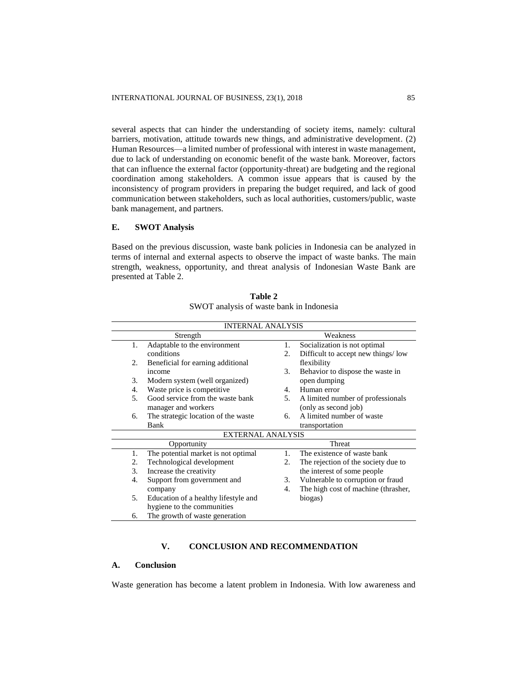several aspects that can hinder the understanding of society items, namely: cultural barriers, motivation, attitude towards new things, and administrative development. (2) Human Resources—a limited number of professional with interest in waste management, due to lack of understanding on economic benefit of the waste bank. Moreover, factors that can influence the external factor (opportunity-threat) are budgeting and the regional coordination among stakeholders. A common issue appears that is caused by the inconsistency of program providers in preparing the budget required, and lack of good communication between stakeholders, such as local authorities, customers/public, waste bank management, and partners.

# **E. SWOT Analysis**

Based on the previous discussion, waste bank policies in Indonesia can be analyzed in terms of internal and external aspects to observe the impact of waste banks. The main strength, weakness, opportunity, and threat analysis of Indonesian Waste Bank are presented at Table 2.

| <b>INTERNAL ANALYSIS</b> |                                      |                |                                     |  |  |
|--------------------------|--------------------------------------|----------------|-------------------------------------|--|--|
| Strength                 |                                      |                | Weakness                            |  |  |
| 1.                       | Adaptable to the environment         | 1.             | Socialization is not optimal        |  |  |
|                          | conditions                           | 2.             | Difficult to accept new things/low  |  |  |
| 2.                       | Beneficial for earning additional    |                | flexibility                         |  |  |
|                          | income                               | 3.             | Behavior to dispose the waste in    |  |  |
| 3.                       | Modern system (well organized)       |                | open dumping                        |  |  |
| 4.                       | Waste price is competitive.          | $4_{\cdot}$    | Human error                         |  |  |
| 5 <sub>1</sub>           | Good service from the waste bank     |                | A limited number of professionals   |  |  |
|                          | manager and workers                  |                | (only as second job)                |  |  |
| 6.                       | The strategic location of the waste  | б.             | A limited number of waste           |  |  |
|                          | Bank                                 |                | transportation                      |  |  |
|                          | <b>EXTERNAL ANALYSIS</b>             |                |                                     |  |  |
|                          | Opportunity                          |                | Threat                              |  |  |
| 1.                       | The potential market is not optimal  | $\mathbf{1}$ . | The existence of waste bank         |  |  |
| 2.                       | Technological development            | 2.             | The rejection of the society due to |  |  |
| 3.                       | Increase the creativity              |                | the interest of some people         |  |  |
| 4.                       | Support from government and          | 3.             | Vulnerable to corruption or fraud   |  |  |
|                          | company                              | 4.             | The high cost of machine (thrasher, |  |  |
| 5.                       | Education of a healthy lifestyle and |                | biogas)                             |  |  |
|                          | hygiene to the communities           |                |                                     |  |  |
| 6.                       | The growth of waste generation       |                |                                     |  |  |

**Table 2** SWOT analysis of waste bank in Indonesia

# **V. CONCLUSION AND RECOMMENDATION**

# **A. Conclusion**

Waste generation has become a latent problem in Indonesia. With low awareness and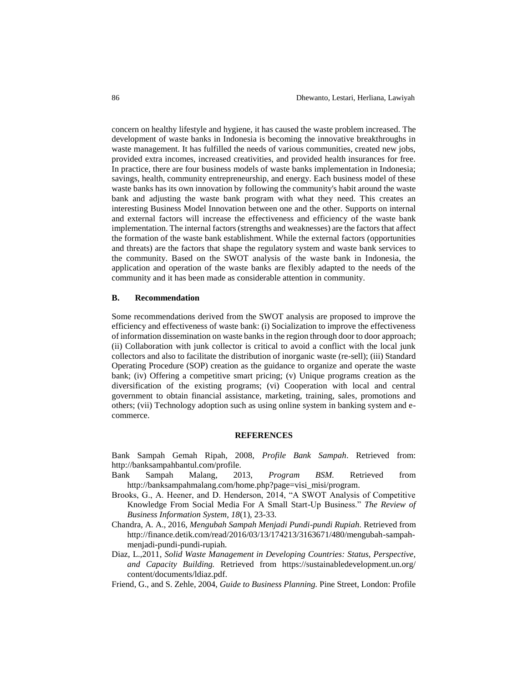concern on healthy lifestyle and hygiene, it has caused the waste problem increased. The development of waste banks in Indonesia is becoming the innovative breakthroughs in waste management. It has fulfilled the needs of various communities, created new jobs, provided extra incomes, increased creativities, and provided health insurances for free. In practice, there are four business models of waste banks implementation in Indonesia; savings, health, community entrepreneurship, and energy. Each business model of these waste banks has its own innovation by following the community's habit around the waste bank and adjusting the waste bank program with what they need. This creates an interesting Business Model Innovation between one and the other. Supports on internal and external factors will increase the effectiveness and efficiency of the waste bank implementation. The internal factors (strengths and weaknesses) are the factors that affect the formation of the waste bank establishment. While the external factors (opportunities and threats) are the factors that shape the regulatory system and waste bank services to the community. Based on the SWOT analysis of the waste bank in Indonesia, the application and operation of the waste banks are flexibly adapted to the needs of the community and it has been made as considerable attention in community.

### **B. Recommendation**

Some recommendations derived from the SWOT analysis are proposed to improve the efficiency and effectiveness of waste bank: (i) Socialization to improve the effectiveness of information dissemination on waste banks in the region through door to door approach; (ii) Collaboration with junk collector is critical to avoid a conflict with the local junk collectors and also to facilitate the distribution of inorganic waste (re-sell); (iii) Standard Operating Procedure (SOP) creation as the guidance to organize and operate the waste bank; (iv) Offering a competitive smart pricing; (v) Unique programs creation as the diversification of the existing programs; (vi) Cooperation with local and central government to obtain financial assistance, marketing, training, sales, promotions and others; (vii) Technology adoption such as using online system in banking system and ecommerce.

#### **REFERENCES**

Bank Sampah Gemah Ripah, 2008, *Profile Bank Sampah*. Retrieved from: http://banksampahbantul.com/profile.

- Bank Sampah Malang, 2013, *Program BSM.* Retrieved from http://banksampahmalang.com/home.php?page=visi\_misi/program.
- Brooks, G., A. Heener, and D. Henderson, 2014, "A SWOT Analysis of Competitive Knowledge From Social Media For A Small Start-Up Business." *The Review of Business Information System, 18*(1), 23-33.
- Chandra, A. A., 2016, *Mengubah Sampah Menjadi Pundi-pundi Rupiah.* Retrieved from http://finance.detik.com/read/2016/03/13/174213/3163671/480/mengubah-sampahmenjadi-pundi-pundi-rupiah.
- Diaz, L.,2011, *Solid Waste Management in Developing Countries: Status, Perspective, and Capacity Building.* Retrieved from https://sustainabledevelopment.un.org/ content/documents/ldiaz.pdf.
- Friend, G., and S. Zehle, 2004, *Guide to Business Planning.* Pine Street, London: Profile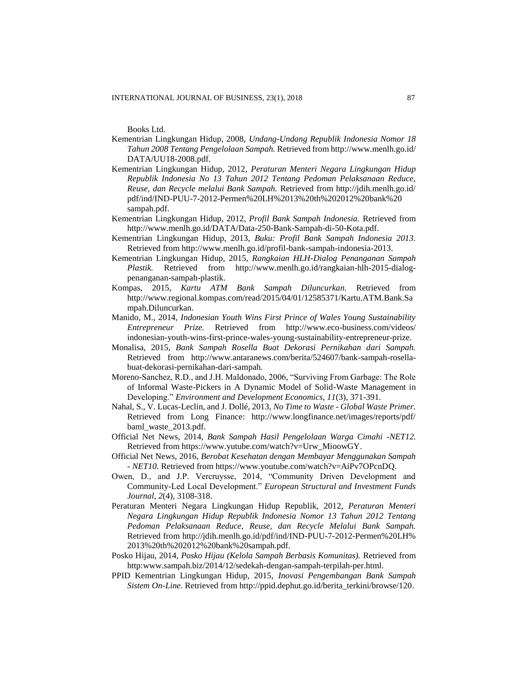Books Ltd.

- Kementrian Lingkungan Hidup, 2008, *Undang-Undang Republik Indonesia Nomor 18 Tahun 2008 Tentang Pengelolaan Sampah.* Retrieved from http://www.menlh.go.id/ DATA/UU18-2008.pdf.
- Kementrian Lingkungan Hidup, 2012, *Peraturan Menteri Negara Lingkungan Hidup Republik Indonesia No 13 Tahun 2012 Tentang Pedoman Pelaksanaan Reduce, Reuse, dan Recycle melalui Bank Sampah.* Retrieved from http://jdih.menlh.go.id/ pdf/ind/IND-PUU-7-2012-Permen%20LH%2013%20th%202012%20bank%20 sampah.pdf.
- Kementrian Lingkungan Hidup, 2012, *Profil Bank Sampah Indonesia.* Retrieved from http://www.menlh.go.id/DATA/Data-250-Bank-Sampah-di-50-Kota.pdf.
- Kementrian Lingkungan Hidup, 2013, *Buku: Profil Bank Sampah Indonesia 2013.* Retrieved from http://www.menlh.go.id/profil-bank-sampah-indonesia-2013.
- Kementrian Lingkungan Hidup, 2015, *Rangkaian HLH-Dialog Penanganan Sampah Plastik.* Retrieved from http://www.menlh.go.id/rangkaian-hlh-2015-dialogpenanganan-sampah-plastik.
- Kompas, 2015, *Kartu ATM Bank Sampah Diluncurkan.* Retrieved from http://www.regional.kompas.com/read/2015/04/01/12585371/Kartu.ATM.Bank.Sa mpah.Diluncurkan.
- Manido, M., 2014, *Indonesian Youth Wins First Prince of Wales Young Sustainability Entrepreneur Prize.* Retrieved from http://www.eco-business.com/videos/ indonesian-youth-wins-first-prince-wales-young-sustainability-entrepreneur-prize.
- Monalisa, 2015, *Bank Sampah Rosella Buat Dekorasi Pernikahan dari Sampah.* Retrieved from http://www.antaranews.com/berita/524607/bank-sampah-rosellabuat-dekorasi-pernikahan-dari-sampah.
- Moreno-Sanchez, R.D., and J.H. Maldonado, 2006, "Surviving From Garbage: The Role of Informal Waste-Pickers in A Dynamic Model of Solid-Waste Management in Developing." *Environment and Development Economics, 11*(3), 371-391.
- Nahal, S., V. Lucas-Leclin, and J. Dollé, 2013, *No Time to Waste - Global Waste Primer.* Retrieved from Long Finance: http://www.longfinance.net/images/reports/pdf/ baml\_waste\_2013.pdf.
- Official Net News, 2014, *Bank Sampah Hasil Pengelolaan Warga Cimahi -NET12.* Retrieved from https://www.yutube.com/watch?v=Urw\_MioowGY.
- Official Net News, 2016, *Berobat Kesehatan dengan Membayar Menggunakan Sampah - NET10.* Retrieved from https://www.youtube.com/watch?v=AiPv7OPcnDQ.
- Owen, D., and J.P. Vercruysse, 2014, "Community Driven Development and Community-Led Local Development." *European Structural and Investment Funds Journal, 2*(4), 3108-318.
- Peraturan Menteri Negara Lingkungan Hidup Republik, 2012, *Peraturan Menteri Negara Lingkungan Hidup Republik Indonesia Nomor 13 Tahun 2012 Tentang Pedoman Pelaksanaan Reduce, Reuse, dan Recycle Melalui Bank Sampah.* Retrieved from http://jdih.menlh.go.id/pdf/ind/IND-PUU-7-2012-Permen%20LH% 2013%20th%202012%20bank%20sampah.pdf.
- Posko Hijau, 2014, *Posko Hijau (Kelola Sampah Berbasis Komunitas).* Retrieved from http:www.sampah.biz/2014/12/sedekah-dengan-sampah-terpilah-per.html.
- PPID Kementrian Lingkungan Hidup, 2015, *Inovasi Pengembangan Bank Sampah Sistem On-Line.* Retrieved from http://ppid.dephut.go.id/berita\_terkini/browse/120.